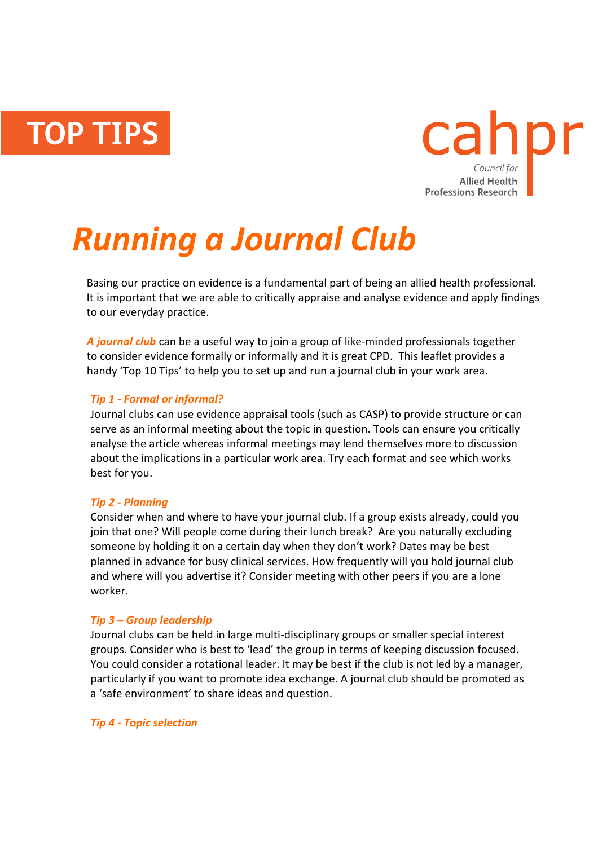**TOP TIPS** 



# *Running a Journal Club*

Basing our practice on evidence is a fundamental part of being an allied health professional. It is important that we are able to critically appraise and analyse evidence and apply findings to our everyday practice.

*A journal club* can be a useful way to join a group of like-minded professionals together to consider evidence formally or informally and it is great CPD. This leaflet provides a handy 'Top 10 Tips' to help you to set up and run a journal club in your work area.

# *Tip 1 - Formal or informal?*

Journal clubs can use evidence appraisal tools (such as CASP) to provide structure or can serve as an informal meeting about the topic in question. Tools can ensure you critically analyse the article whereas informal meetings may lend themselves more to discussion about the implications in a particular work area. Try each format and see which works best for you.

# *Tip 2 - Planning*

Consider when and where to have your journal club. If a group exists already, could you join that one? Will people come during their lunch break? Are you naturally excluding someone by holding it on a certain day when they don't work? Dates may be best planned in advance for busy clinical services. How frequently will you hold journal club and where will you advertise it? Consider meeting with other peers if you are a lone worker.

# *Tip 3 – Group leadership*

Journal clubs can be held in large multi-disciplinary groups or smaller special interest groups. Consider who is best to 'lead' the group in terms of keeping discussion focused. You could consider a rotational leader. It may be best if the club is not led by a manager, particularly if you want to promote idea exchange. A journal club should be promoted as a 'safe environment' to share ideas and question.

## *Tip 4 - Topic selection*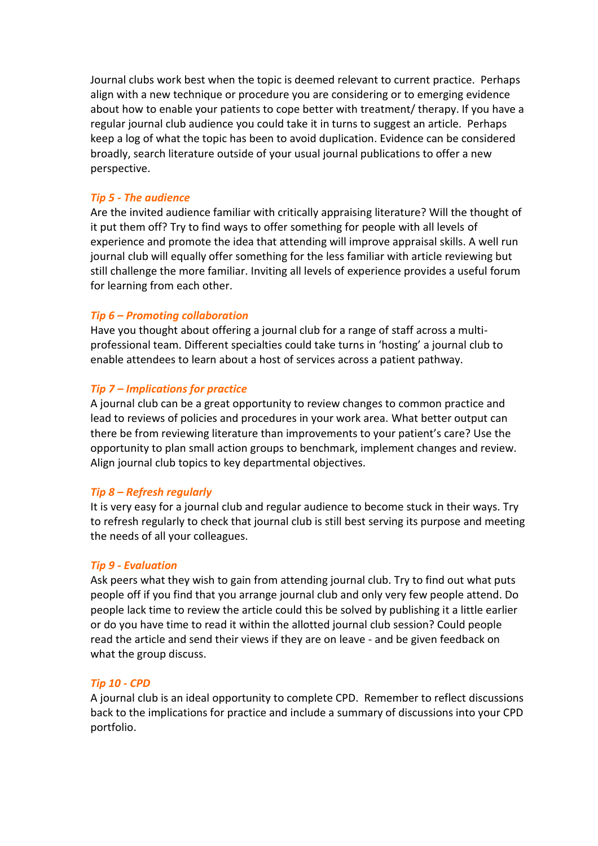Journal clubs work best when the topic is deemed relevant to current practice. Perhaps align with a new technique or procedure you are considering or to emerging evidence about how to enable your patients to cope better with treatment/ therapy. If you have a regular journal club audience you could take it in turns to suggest an article. Perhaps keep a log of what the topic has been to avoid duplication. Evidence can be considered broadly, search literature outside of your usual journal publications to offer a new perspective.

## *Tip 5 - The audience*

Are the invited audience familiar with critically appraising literature? Will the thought of it put them off? Try to find ways to offer something for people with all levels of experience and promote the idea that attending will improve appraisal skills. A well run journal club will equally offer something for the less familiar with article reviewing but still challenge the more familiar. Inviting all levels of experience provides a useful forum for learning from each other.

### *Tip 6 – Promoting collaboration*

Have you thought about offering a journal club for a range of staff across a multiprofessional team. Different specialties could take turns in 'hosting' a journal club to enable attendees to learn about a host of services across a patient pathway.

### *Tip 7 – Implications for practice*

A journal club can be a great opportunity to review changes to common practice and lead to reviews of policies and procedures in your work area. What better output can there be from reviewing literature than improvements to your patient's care? Use the opportunity to plan small action groups to benchmark, implement changes and review. Align journal club topics to key departmental objectives.

#### *Tip 8 – Refresh regularly*

It is very easy for a journal club and regular audience to become stuck in their ways. Try to refresh regularly to check that journal club is still best serving its purpose and meeting the needs of all your colleagues.

#### *Tip 9 - Evaluation*

Ask peers what they wish to gain from attending journal club. Try to find out what puts people off if you find that you arrange journal club and only very few people attend. Do people lack time to review the article could this be solved by publishing it a little earlier or do you have time to read it within the allotted journal club session? Could people read the article and send their views if they are on leave - and be given feedback on what the group discuss.

#### *Tip 10 - CPD*

A journal club is an ideal opportunity to complete CPD. Remember to reflect discussions back to the implications for practice and include a summary of discussions into your CPD portfolio.